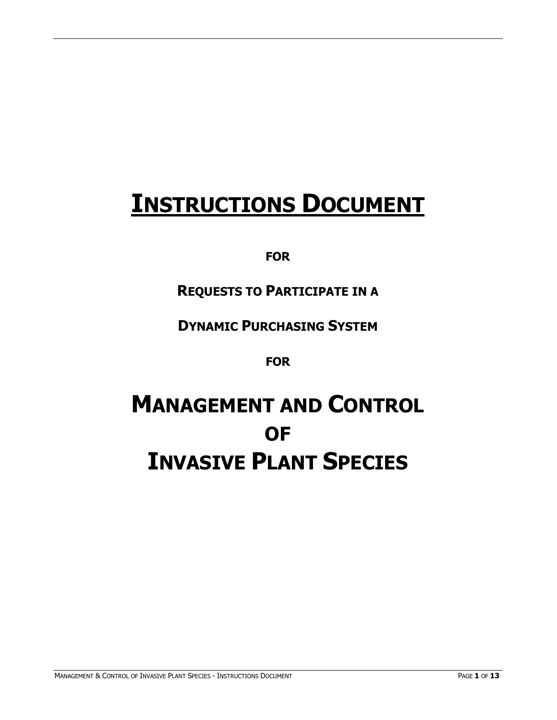# **INSTRUCTIONS DOCUMENT**

## **FOR**

# **REQUESTS TO PARTICIPATE IN A**

## **DYNAMIC PURCHASING SYSTEM**

**FOR**

# **MANAGEMENT AND CONTROL OF INVASIVE PLANT SPECIES**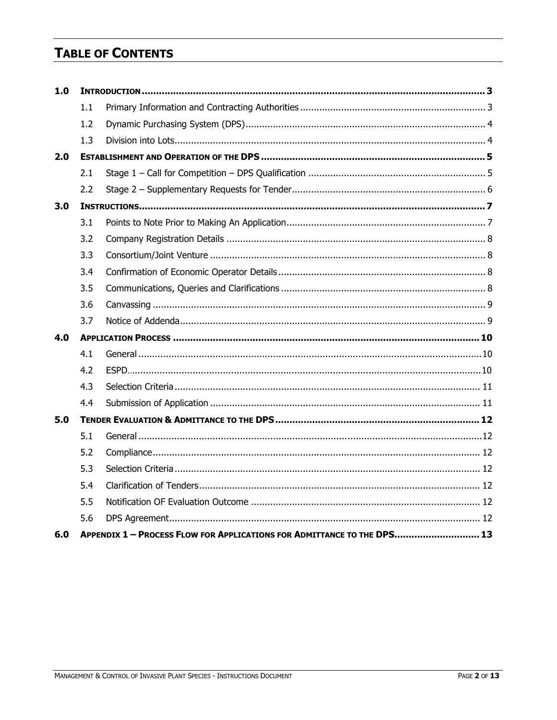## **TABLE OF CONTENTS**

| 1.0 |     |                                                                         |  |  |  |
|-----|-----|-------------------------------------------------------------------------|--|--|--|
|     | 1.1 |                                                                         |  |  |  |
|     | 1.2 |                                                                         |  |  |  |
|     | 1.3 |                                                                         |  |  |  |
| 2.0 |     |                                                                         |  |  |  |
|     | 2.1 |                                                                         |  |  |  |
|     | 2.2 |                                                                         |  |  |  |
| 3.0 |     |                                                                         |  |  |  |
|     | 3.1 |                                                                         |  |  |  |
|     | 3.2 |                                                                         |  |  |  |
|     | 3.3 |                                                                         |  |  |  |
|     | 3.4 |                                                                         |  |  |  |
|     | 3.5 |                                                                         |  |  |  |
|     | 3.6 |                                                                         |  |  |  |
|     | 3.7 |                                                                         |  |  |  |
| 4.0 |     |                                                                         |  |  |  |
|     | 4.1 |                                                                         |  |  |  |
|     | 4.2 |                                                                         |  |  |  |
|     | 4.3 |                                                                         |  |  |  |
|     | 4.4 |                                                                         |  |  |  |
| 5.0 |     |                                                                         |  |  |  |
|     | 5.1 |                                                                         |  |  |  |
|     | 5.2 |                                                                         |  |  |  |
|     | 5.3 |                                                                         |  |  |  |
|     | 5.4 |                                                                         |  |  |  |
|     | 5.5 |                                                                         |  |  |  |
|     | 5.6 |                                                                         |  |  |  |
| 6.0 |     | APPENDIX 1 - PROCESS FLOW FOR APPLICATIONS FOR ADMITTANCE TO THE DPS 13 |  |  |  |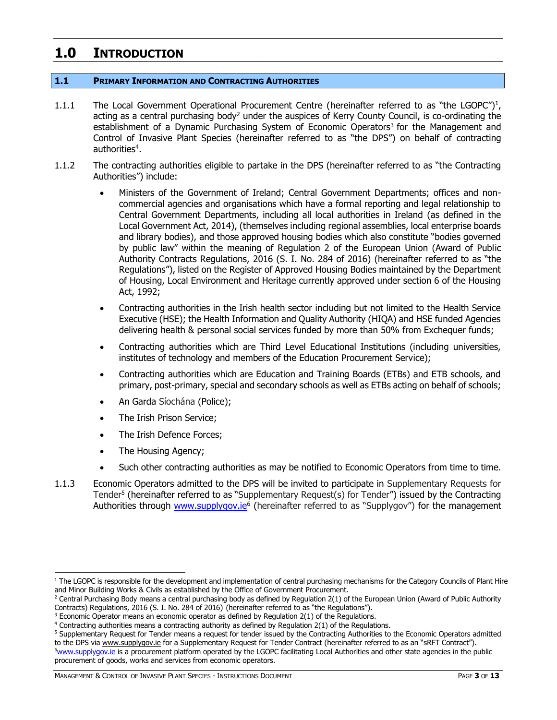## <span id="page-2-0"></span>**1.0 INTRODUCTION**

#### <span id="page-2-1"></span>**1.1 PRIMARY INFORMATION AND CONTRACTING AUTHORITIES**

- 1.1.1 The Local Government Operational Procurement Centre (hereinafter referred to as "the LGOPC")<sup>1</sup>, acting as a central purchasing body<sup>2</sup> under the auspices of Kerry County Council, is co-ordinating the establishment of a Dynamic Purchasing System of Economic Operators<sup>3</sup> for the Management and Control of Invasive Plant Species (hereinafter referred to as "the DPS") on behalf of contracting authorities<sup>4</sup>.
- 1.1.2 The contracting authorities eligible to partake in the DPS (hereinafter referred to as "the Contracting Authorities") include:
	- Ministers of the Government of Ireland; Central Government Departments; offices and noncommercial agencies and organisations which have a formal reporting and legal relationship to Central Government Departments, including all local authorities in Ireland (as defined in the Local Government Act, 2014), (themselves including regional assemblies, local enterprise boards and library bodies), and those approved housing bodies which also constitute "bodies governed by public law" within the meaning of Regulation 2 of the European Union (Award of Public Authority Contracts Regulations, 2016 (S. I. No. 284 of 2016) (hereinafter referred to as "the Regulations"), listed on the Register of Approved Housing Bodies maintained by the Department of Housing, Local Environment and Heritage currently approved under section 6 of the Housing Act, 1992;
	- Contracting authorities in the Irish health sector including but not limited to the Health Service Executive (HSE); the Health Information and Quality Authority (HIQA) and HSE funded Agencies delivering health & personal social services funded by more than 50% from Exchequer funds;
	- Contracting authorities which are Third Level Educational Institutions (including universities, institutes of technology and members of the Education Procurement Service);
	- Contracting authorities which are Education and Training Boards (ETBs) and ETB schools, and primary, post-primary, special and secondary schools as well as ETBs acting on behalf of schools;
	- An Garda Síochána (Police);
	- The Irish Prison Service;
	- The Irish Defence Forces;
	- The Housing Agency;
	- Such other contracting authorities as may be notified to Economic Operators from time to time.
- 1.1.3 Economic Operators admitted to the DPS will be invited to participate in Supplementary Requests for Tender<sup>5</sup> (hereinafter referred to as "Supplementary Request(s) for Tender") issued by the Contracting Authorities through [www.supplygov.ie](http://www.supplygov.ie/)<sup>6</sup> (hereinafter referred to as "Supplygov") for the management

<sup>&</sup>lt;sup>1</sup> The LGOPC is responsible for the development and implementation of central purchasing mechanisms for the Category Councils of Plant Hire and Minor Building Works & Civils as established by the Office of Government Procurement.

 $2$  Central Purchasing Body means a central purchasing body as defined by Regulation 2(1) of the European Union (Award of Public Authority Contracts) Regulations, 2016 (S. I. No. 284 of 2016) (hereinafter referred to as "the Regulations").

 $3$  Economic Operator means an economic operator as defined by Regulation  $2(1)$  of the Regulations.

<sup>4</sup> Contracting authorities means a contracting authority as defined by Regulation 2(1) of the Regulations.

<sup>5</sup> Supplementary Request for Tender means a request for tender issued by the Contracting Authorities to the Economic Operators admitted to the DPS vi[a www.supplygov.ie](http://www.supplygov.ie/) for a Supplementary Request for Tender Contract (hereinafter referred to as an "sRFT Contract"). <sup>6</sup>[www.supplygov.i](http://www.supplygov/)e is a procurement platform operated by the LGOPC facilitating Local Authorities and other state agencies in the public procurement of goods, works and services from economic operators.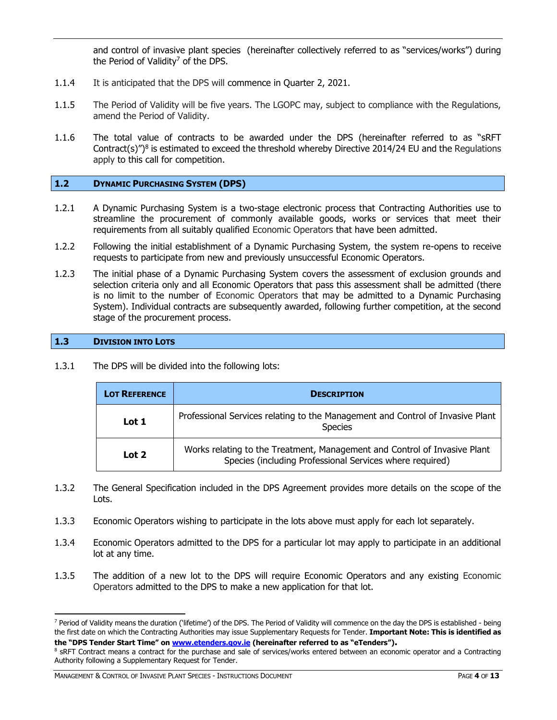and control of invasive plant species (hereinafter collectively referred to as "services/works") during the Period of Validity<sup>7</sup> of the DPS.

- 1.1.4 It is anticipated that the DPS will commence in Quarter 2, 2021.
- 1.1.5 The Period of Validity will be five years. The LGOPC may, subject to compliance with the Regulations, amend the Period of Validity.
- 1.1.6 The total value of contracts to be awarded under the DPS (hereinafter referred to as "sRFT Contract(s) $\gamma$ <sup>8</sup> is estimated to exceed the threshold whereby Directive 2014/24 EU and the Regulations apply to this call for competition.

#### <span id="page-3-0"></span>**1.2 DYNAMIC PURCHASING SYSTEM (DPS)**

- 1.2.1 A Dynamic Purchasing System is a two-stage electronic process that Contracting Authorities use to streamline the procurement of commonly available goods, works or services that meet their requirements from all suitably qualified Economic Operators that have been admitted.
- 1.2.2 Following the initial establishment of a Dynamic Purchasing System, the system re-opens to receive requests to participate from new and previously unsuccessful Economic Operators.
- 1.2.3 The initial phase of a Dynamic Purchasing System covers the assessment of exclusion grounds and selection criteria only and all Economic Operators that pass this assessment shall be admitted (there is no limit to the number of Economic Operators that may be admitted to a Dynamic Purchasing System). Individual contracts are subsequently awarded, following further competition, at the second stage of the procurement process.

#### <span id="page-3-1"></span>**1.3 DIVISION INTO LOTS**

1.3.1 The DPS will be divided into the following lots:

| <b>LOT REFERENCE</b> | <b>DESCRIPTION</b>                                                                                                                    |  |  |
|----------------------|---------------------------------------------------------------------------------------------------------------------------------------|--|--|
| Lot 1                | Professional Services relating to the Management and Control of Invasive Plant<br><b>Species</b>                                      |  |  |
| Lot 2                | Works relating to the Treatment, Management and Control of Invasive Plant<br>Species (including Professional Services where required) |  |  |

- 1.3.2 The General Specification included in the DPS Agreement provides more details on the scope of the Lots.
- 1.3.3 Economic Operators wishing to participate in the lots above must apply for each lot separately.
- 1.3.4 Economic Operators admitted to the DPS for a particular lot may apply to participate in an additional lot at any time.
- 1.3.5 The addition of a new lot to the DPS will require Economic Operators and any existing Economic Operators admitted to the DPS to make a new application for that lot.

<sup>&</sup>lt;sup>7</sup> Period of Validity means the duration ('lifetime') of the DPS. The Period of Validity will commence on the day the DPS is established - being the first date on which the Contracting Authorities may issue Supplementary Requests for Tender. **Important Note: This is identified as the "DPS Tender Start Time" on [www.etenders.gov.ie](http://www.etenders.gov.ie/) (hereinafter referred to as "eTenders").**

<sup>&</sup>lt;sup>8</sup> SRFT Contract means a contract for the purchase and sale of services/works entered between an economic operator and a Contracting Authority following a Supplementary Request for Tender.

MANAGEMENT & CONTROL OF INVASIVE PLANT SPECIES - INSTRUCTIONS DOCUMENT PAGE **4** OF **13**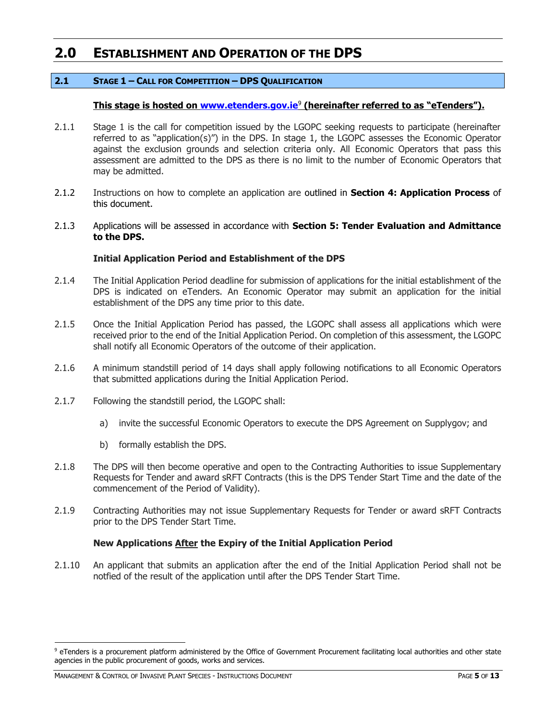### <span id="page-4-0"></span>**2.0 ESTABLISHMENT AND OPERATION OF THE DPS**

#### <span id="page-4-1"></span>**2.1 STAGE 1 – CALL FOR COMPETITION – DPS QUALIFICATION**

#### **This stage is hosted on [www.etenders.gov.ie](http://www.etenders.gov.ie/)**<sup>9</sup> **(hereinafter referred to as "eTenders").**

- 2.1.1 Stage 1 is the call for competition issued by the LGOPC seeking requests to participate (hereinafter referred to as "application(s)") in the DPS. In stage 1, the LGOPC assesses the Economic Operator against the exclusion grounds and selection criteria only. All Economic Operators that pass this assessment are admitted to the DPS as there is no limit to the number of Economic Operators that may be admitted.
- 2.1.2 Instructions on how to complete an application are outlined in **Section 4: Application Process** of this document.
- 2.1.3 Applications will be assessed in accordance with **Section 5: Tender Evaluation and Admittance to the DPS.**

#### **Initial Application Period and Establishment of the DPS**

- 2.1.4 The Initial Application Period deadline for submission of applications for the initial establishment of the DPS is indicated on eTenders. An Economic Operator may submit an application for the initial establishment of the DPS any time prior to this date.
- 2.1.5 Once the Initial Application Period has passed, the LGOPC shall assess all applications which were received prior to the end of the Initial Application Period. On completion of this assessment, the LGOPC shall notify all Economic Operators of the outcome of their application.
- 2.1.6 A minimum standstill period of 14 days shall apply following notifications to all Economic Operators that submitted applications during the Initial Application Period.
- 2.1.7 Following the standstill period, the LGOPC shall:
	- a) invite the successful Economic Operators to execute the DPS Agreement on Supplygov; and
	- b) formally establish the DPS.
- 2.1.8 The DPS will then become operative and open to the Contracting Authorities to issue Supplementary Requests for Tender and award sRFT Contracts (this is the DPS Tender Start Time and the date of the commencement of the Period of Validity).
- 2.1.9 Contracting Authorities may not issue Supplementary Requests for Tender or award sRFT Contracts prior to the DPS Tender Start Time.

#### **New Applications After the Expiry of the Initial Application Period**

2.1.10 An applicant that submits an application after the end of the Initial Application Period shall not be notfied of the result of the application until after the DPS Tender Start Time.

<sup>&</sup>lt;sup>9</sup> eTenders is a procurement platform administered by the Office of Government Procurement facilitating local authorities and other state agencies in the public procurement of goods, works and services.

MANAGEMENT & CONTROL OF INVASIVE PLANT SPECIES - INSTRUCTIONS DOCUMENT **FOLLOW CONTROL** PAGE 5 OF 13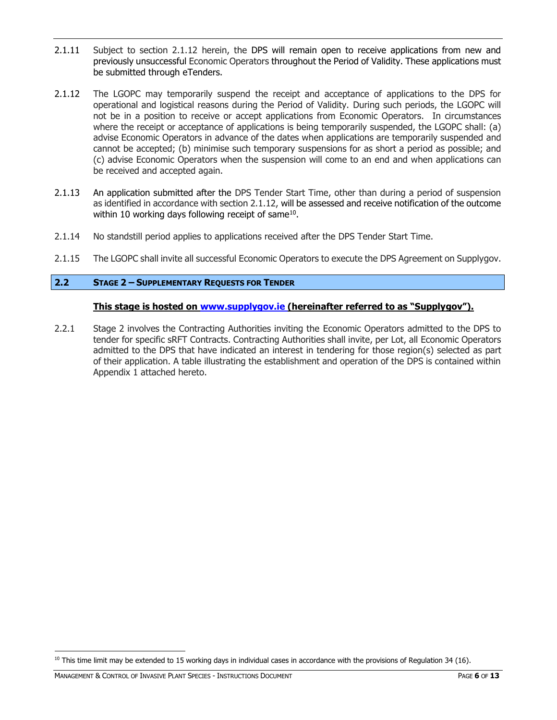- 2.1.11 Subject to section 2.1.12 herein, the DPS will remain open to receive applications from new and previously unsuccessful Economic Operators throughout the Period of Validity. These applications must be submitted through eTenders.
- 2.1.12 The LGOPC may temporarily suspend the receipt and acceptance of applications to the DPS for operational and logistical reasons during the Period of Validity. During such periods, the LGOPC will not be in a position to receive or accept applications from Economic Operators. In circumstances where the receipt or acceptance of applications is being temporarily suspended, the LGOPC shall: (a) advise Economic Operators in advance of the dates when applications are temporarily suspended and cannot be accepted; (b) minimise such temporary suspensions for as short a period as possible; and (c) advise Economic Operators when the suspension will come to an end and when applications can be received and accepted again.
- 2.1.13 An application submitted after the DPS Tender Start Time, other than during a period of suspension as identified in accordance with section 2.1.12, will be assessed and receive notification of the outcome within 10 working days following receipt of same $^{10}$ .
- 2.1.14 No standstill period applies to applications received after the DPS Tender Start Time.
- 2.1.15 The LGOPC shall invite all successful Economic Operators to execute the DPS Agreement on Supplygov.

#### <span id="page-5-0"></span>**2.2 STAGE 2 – SUPPLEMENTARY REQUESTS FOR TENDER**

#### **This stage is hosted on [www.supplygov.ie](http://www.supplygov.ie/) (hereinafter referred to as "Supplygov").**

2.2.1 Stage 2 involves the Contracting Authorities inviting the Economic Operators admitted to the DPS to tender for specific sRFT Contracts. Contracting Authorities shall invite, per Lot, all Economic Operators admitted to the DPS that have indicated an interest in tendering for those region(s) selected as part of their application. A table illustrating the establishment and operation of the DPS is contained within Appendix 1 attached hereto.

 $10$  This time limit may be extended to 15 working days in individual cases in accordance with the provisions of Regulation 34 (16).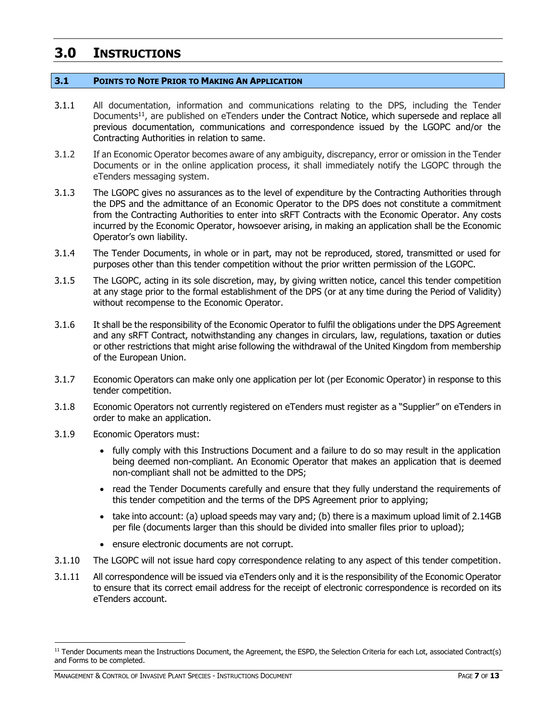## <span id="page-6-0"></span>**3.0 INSTRUCTIONS**

#### <span id="page-6-1"></span>**3.1 POINTS TO NOTE PRIOR TO MAKING AN APPLICATION**

- 3.1.1 All documentation, information and communications relating to the DPS, including the Tender Documents<sup>11</sup>, are published on eTenders under the Contract Notice, which supersede and replace all previous documentation, communications and correspondence issued by the LGOPC and/or the Contracting Authorities in relation to same.
- 3.1.2 If an Economic Operator becomes aware of any ambiguity, discrepancy, error or omission in the Tender Documents or in the online application process, it shall immediately notify the LGOPC through the eTenders messaging system.
- 3.1.3 The LGOPC gives no assurances as to the level of expenditure by the Contracting Authorities through the DPS and the admittance of an Economic Operator to the DPS does not constitute a commitment from the Contracting Authorities to enter into sRFT Contracts with the Economic Operator. Any costs incurred by the Economic Operator, howsoever arising, in making an application shall be the Economic Operator's own liability.
- 3.1.4 The Tender Documents, in whole or in part, may not be reproduced, stored, transmitted or used for purposes other than this tender competition without the prior written permission of the LGOPC.
- 3.1.5 The LGOPC, acting in its sole discretion, may, by giving written notice, cancel this tender competition at any stage prior to the formal establishment of the DPS (or at any time during the Period of Validity) without recompense to the Economic Operator.
- 3.1.6 It shall be the responsibility of the Economic Operator to fulfil the obligations under the DPS Agreement and any sRFT Contract, notwithstanding any changes in circulars, law, regulations, taxation or duties or other restrictions that might arise following the withdrawal of the United Kingdom from membership of the European Union.
- 3.1.7 Economic Operators can make only one application per lot (per Economic Operator) in response to this tender competition.
- 3.1.8 Economic Operators not currently registered on eTenders must register as a "Supplier" on eTenders in order to make an application.
- 3.1.9 Economic Operators must:
	- fully comply with this Instructions Document and a failure to do so may result in the application being deemed non-compliant. An Economic Operator that makes an application that is deemed non-compliant shall not be admitted to the DPS;
	- read the Tender Documents carefully and ensure that they fully understand the requirements of this tender competition and the terms of the DPS Agreement prior to applying;
	- take into account: (a) upload speeds may vary and; (b) there is a maximum upload limit of 2.14GB per file (documents larger than this should be divided into smaller files prior to upload);
	- ensure electronic documents are not corrupt.
- 3.1.10 The LGOPC will not issue hard copy correspondence relating to any aspect of this tender competition.
- 3.1.11 All correspondence will be issued via eTenders only and it is the responsibility of the Economic Operator to ensure that its correct email address for the receipt of electronic correspondence is recorded on its eTenders account.

<sup>&</sup>lt;sup>11</sup> Tender Documents mean the Instructions Document, the Agreement, the ESPD, the Selection Criteria for each Lot, associated Contract(s) and Forms to be completed.

MANAGEMENT & CONTROL OF INVASIVE PLANT SPECIES - INSTRUCTIONS DOCUMENT PAGE **7** OF **13**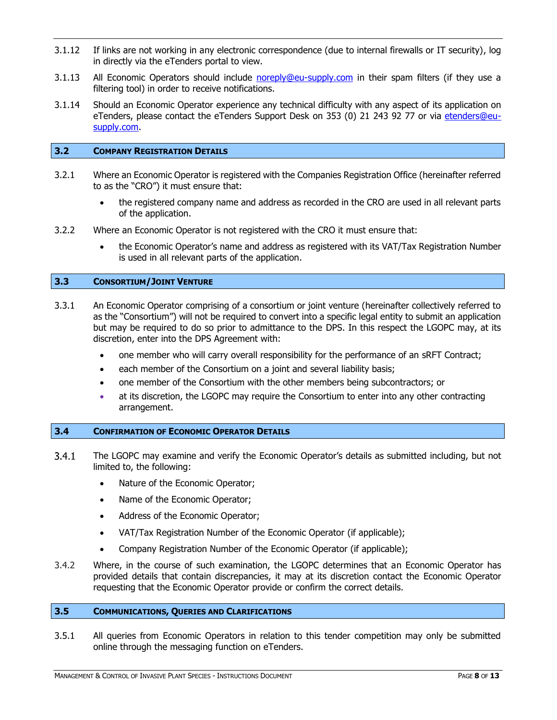- 3.1.12 If links are not working in any electronic correspondence (due to internal firewalls or IT security), log in directly via the eTenders portal to view.
- 3.1.13 All Economic Operators should include [noreply@eu-supply.com](mailto:noreply@eu-supply.com) in their spam filters (if they use a filtering tool) in order to receive notifications.
- 3.1.14 Should an Economic Operator experience any technical difficulty with any aspect of its application on eTenders, please contact the eTenders Support Desk on 353 (0) 21 243 92 77 or via etenders@eusupply.com.

#### <span id="page-7-0"></span>**3.2 COMPANY REGISTRATION DETAILS**

- 3.2.1 Where an Economic Operator is registered with the Companies Registration Office (hereinafter referred to as the "CRO") it must ensure that:
	- the registered company name and address as recorded in the CRO are used in all relevant parts of the application.
- 3.2.2 Where an Economic Operator is not registered with the CRO it must ensure that:
	- the Economic Operator's name and address as registered with its VAT/Tax Registration Number is used in all relevant parts of the application.

#### <span id="page-7-1"></span>**3.3 CONSORTIUM/JOINT VENTURE**

- 3.3.1 An Economic Operator comprising of a consortium or joint venture (hereinafter collectively referred to as the "Consortium") will not be required to convert into a specific legal entity to submit an application but may be required to do so prior to admittance to the DPS. In this respect the LGOPC may, at its discretion, enter into the DPS Agreement with:
	- one member who will carry overall responsibility for the performance of an sRFT Contract;
	- each member of the Consortium on a joint and several liability basis;
	- one member of the Consortium with the other members being subcontractors; or
	- at its discretion, the LGOPC may require the Consortium to enter into any other contracting arrangement.

#### <span id="page-7-2"></span>**3.4 CONFIRMATION OF ECONOMIC OPERATOR DETAILS**

- $3.4.1$ The LGOPC may examine and verify the Economic Operator's details as submitted including, but not limited to, the following:
	- Nature of the Economic Operator;
	- Name of the Economic Operator;
	- Address of the Economic Operator;
	- VAT/Tax Registration Number of the Economic Operator (if applicable);
	- Company Registration Number of the Economic Operator (if applicable);
- 3.4.2 Where, in the course of such examination, the LGOPC determines that an Economic Operator has provided details that contain discrepancies, it may at its discretion contact the Economic Operator requesting that the Economic Operator provide or confirm the correct details.

#### <span id="page-7-3"></span>**3.5 COMMUNICATIONS, QUERIES AND CLARIFICATIONS**

3.5.1 All queries from Economic Operators in relation to this tender competition may only be submitted online through the messaging function on eTenders.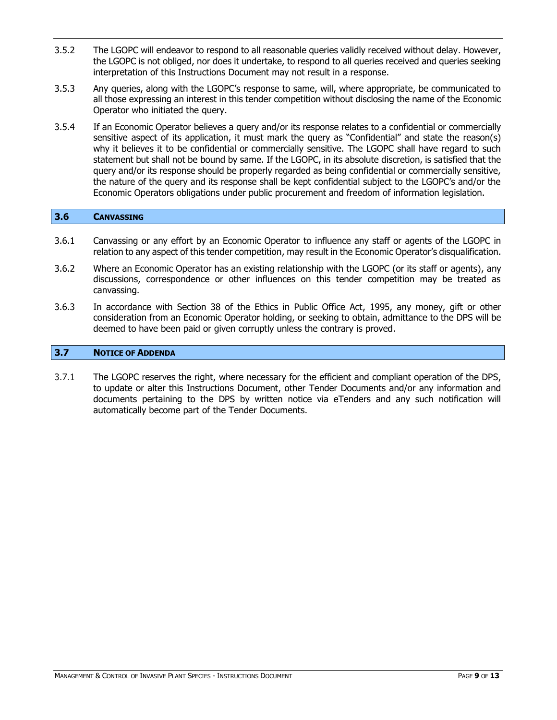- 3.5.2 The LGOPC will endeavor to respond to all reasonable queries validly received without delay. However, the LGOPC is not obliged, nor does it undertake, to respond to all queries received and queries seeking interpretation of this Instructions Document may not result in a response.
- 3.5.3 Any queries, along with the LGOPC's response to same, will, where appropriate, be communicated to all those expressing an interest in this tender competition without disclosing the name of the Economic Operator who initiated the query.
- 3.5.4 If an Economic Operator believes a query and/or its response relates to a confidential or commercially sensitive aspect of its application, it must mark the query as "Confidential" and state the reason(s) why it believes it to be confidential or commercially sensitive. The LGOPC shall have regard to such statement but shall not be bound by same. If the LGOPC, in its absolute discretion, is satisfied that the query and/or its response should be properly regarded as being confidential or commercially sensitive, the nature of the query and its response shall be kept confidential subject to the LGOPC's and/or the Economic Operators obligations under public procurement and freedom of information legislation.

#### <span id="page-8-0"></span>**3.6 CANVASSING**

- 3.6.1 Canvassing or any effort by an Economic Operator to influence any staff or agents of the LGOPC in relation to any aspect of this tender competition, may result in the Economic Operator's disqualification.
- 3.6.2 Where an Economic Operator has an existing relationship with the LGOPC (or its staff or agents), any discussions, correspondence or other influences on this tender competition may be treated as canvassing.
- 3.6.3 In accordance with Section 38 of the Ethics in Public Office Act, 1995, any money, gift or other consideration from an Economic Operator holding, or seeking to obtain, admittance to the DPS will be deemed to have been paid or given corruptly unless the contrary is proved.

#### <span id="page-8-1"></span>**3.7 NOTICE OF ADDENDA**

3.7.1 The LGOPC reserves the right, where necessary for the efficient and compliant operation of the DPS, to update or alter this Instructions Document, other Tender Documents and/or any information and documents pertaining to the DPS by written notice via eTenders and any such notification will automatically become part of the Tender Documents.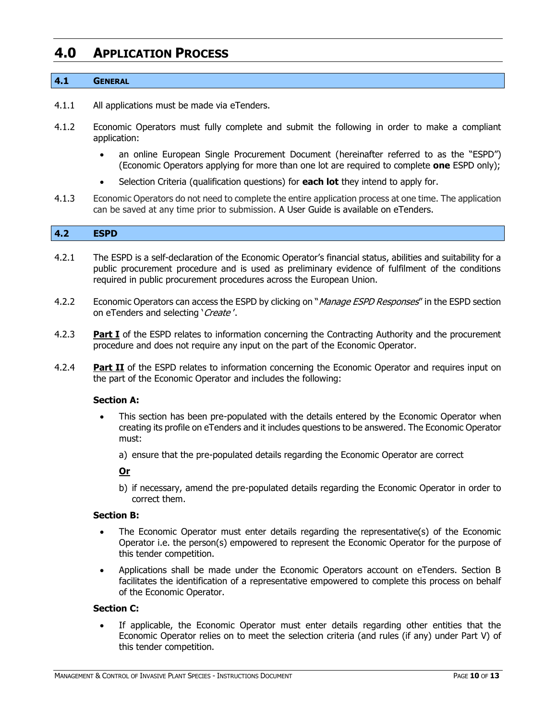## <span id="page-9-0"></span>**4.0 APPLICATION PROCESS**

#### <span id="page-9-1"></span>**4.1 GENERAL**

- 4.1.1 All applications must be made via eTenders.
- 4.1.2 Economic Operators must fully complete and submit the following in order to make a compliant application:
	- an online European Single Procurement Document (hereinafter referred to as the "ESPD") (Economic Operators applying for more than one lot are required to complete **one** ESPD only);
	- Selection Criteria (qualification questions) for **each lot** they intend to apply for.
- 4.1.3 Economic Operators do not need to complete the entire application process at one time. The application can be saved at any time prior to submission. A User Guide is available on eTenders.

#### <span id="page-9-2"></span>**4.2 ESPD**

- 4.2.1 The ESPD is a self-declaration of the Economic Operator's financial status, abilities and suitability for a public procurement procedure and is used as preliminary evidence of fulfilment of the conditions required in public procurement procedures across the European Union.
- 4.2.2 Economic Operators can access the ESPD by clicking on "*Manage ESPD Responses*" in the ESPD section on eTenders and selecting 'Create'.
- 4.2.3 **Part I** of the ESPD relates to information concerning the Contracting Authority and the procurement procedure and does not require any input on the part of the Economic Operator.
- 4.2.4 **Part II** of the ESPD relates to information concerning the Economic Operator and requires input on the part of the Economic Operator and includes the following:

#### **Section A:**

- This section has been pre-populated with the details entered by the Economic Operator when creating its profile on eTenders and it includes questions to be answered. The Economic Operator must:
	- a) ensure that the pre-populated details regarding the Economic Operator are correct

#### **Or**

b) if necessary, amend the pre-populated details regarding the Economic Operator in order to correct them.

#### **Section B:**

- The Economic Operator must enter details regarding the representative(s) of the Economic Operator i.e. the person(s) empowered to represent the Economic Operator for the purpose of this tender competition.
- Applications shall be made under the Economic Operators account on eTenders. Section B facilitates the identification of a representative empowered to complete this process on behalf of the Economic Operator.

#### **Section C:**

If applicable, the Economic Operator must enter details regarding other entities that the Economic Operator relies on to meet the selection criteria (and rules (if any) under Part V) of this tender competition.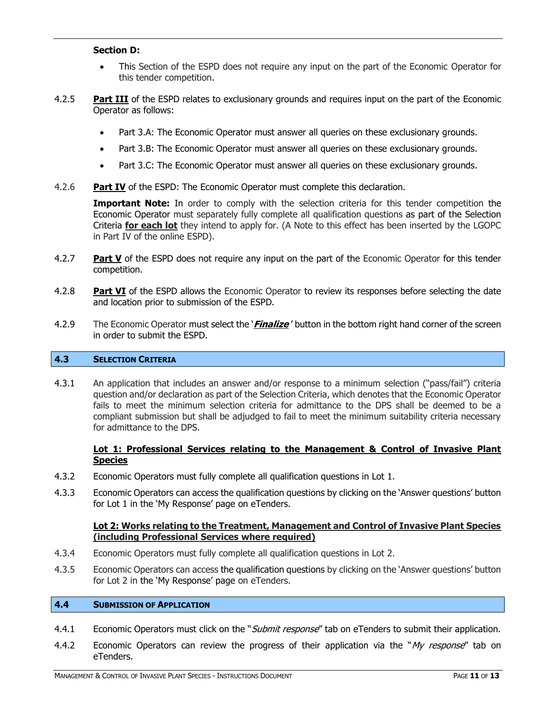#### **Section D:**

- This Section of the ESPD does not require any input on the part of the Economic Operator for this tender competition.
- 4.2.5 **Part III** of the ESPD relates to exclusionary grounds and requires input on the part of the Economic Operator as follows:
	- Part 3.A: The Economic Operator must answer all queries on these exclusionary grounds.
	- Part 3.B: The Economic Operator must answer all queries on these exclusionary grounds.
	- Part 3.C: The Economic Operator must answer all queries on these exclusionary grounds.
- 4.2.6 **Part IV** of the ESPD: The Economic Operator must complete this declaration.

**Important Note:** In order to comply with the selection criteria for this tender competition the Economic Operator must separately fully complete all qualification questions as part of the Selection Criteria **for each lot** they intend to apply for. (A Note to this effect has been inserted by the LGOPC in Part IV of the online ESPD).

- 4.2.7 **Part V** of the ESPD does not require any input on the part of the Economic Operator for this tender competition.
- 4.2.8 **Part VI** of the ESPD allows the Economic Operator to review its responses before selecting the date and location prior to submission of the ESPD.
- 4.2.9 The Economic Operator must select the '**Finalize** ' button in the bottom right hand corner of the screen in order to submit the ESPD.

#### <span id="page-10-0"></span>**4.3 SELECTION CRITERIA**

4.3.1 An application that includes an answer and/or response to a minimum selection ("pass/fail") criteria question and/or declaration as part of the Selection Criteria, which denotes that the Economic Operator fails to meet the minimum selection criteria for admittance to the DPS shall be deemed to be a compliant submission but shall be adjudged to fail to meet the minimum suitability criteria necessary for admittance to the DPS.

#### **Lot 1: Professional Services relating to the Management & Control of Invasive Plant Species**

- 4.3.2 Economic Operators must fully complete all qualification questions in Lot 1.
- 4.3.3 Economic Operators can access the qualification questions by clicking on the 'Answer questions' button for Lot 1 in the 'My Response' page on eTenders.

#### **Lot 2: Works relating to the Treatment, Management and Control of Invasive Plant Species (including Professional Services where required)**

- 4.3.4 Economic Operators must fully complete all qualification questions in Lot 2.
- 4.3.5 Economic Operators can access the qualification questions by clicking on the 'Answer questions' button for Lot 2 in the 'My Response' page on eTenders.

#### <span id="page-10-1"></span>**4.4 SUBMISSION OF APPLICATION**

- 4.4.1 Economic Operators must click on the "*Submit response*" tab on eTenders to submit their application.
- 4.4.2 Economic Operators can review the progress of their application via the "My response" tab on [eTenders.](http://www.etenders.gov.ie/)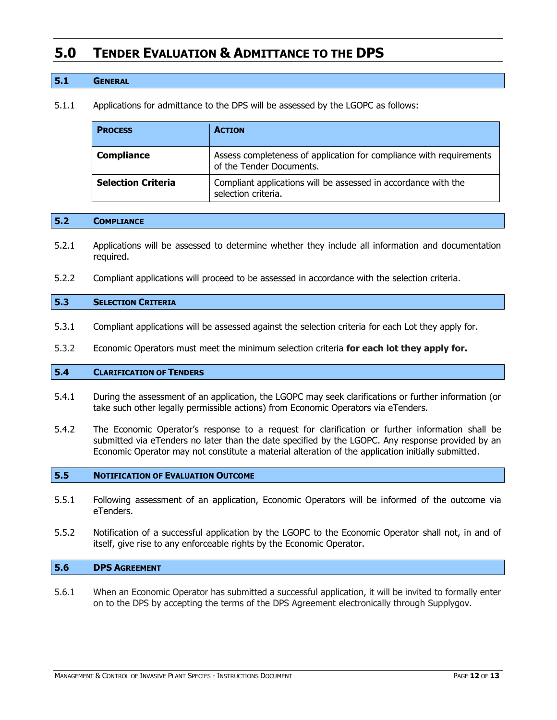### <span id="page-11-0"></span>**5.0 TENDER EVALUATION & ADMITTANCE TO THE DPS**

#### <span id="page-11-1"></span>**5.1 GENERAL**

5.1.1 Applications for admittance to the DPS will be assessed by the LGOPC as follows:

| <b>PROCESS</b>            | <b>ACTION</b>                                                                                   |
|---------------------------|-------------------------------------------------------------------------------------------------|
| <b>Compliance</b>         | Assess completeness of application for compliance with requirements<br>of the Tender Documents. |
| <b>Selection Criteria</b> | Compliant applications will be assessed in accordance with the<br>selection criteria.           |

#### <span id="page-11-2"></span>**5.2 COMPLIANCE**

- 5.2.1 Applications will be assessed to determine whether they include all information and documentation required.
- 5.2.2 Compliant applications will proceed to be assessed in accordance with the selection criteria.

#### <span id="page-11-3"></span>**5.3 SELECTION CRITERIA**

- 5.3.1 Compliant applications will be assessed against the selection criteria for each Lot they apply for.
- 5.3.2 Economic Operators must meet the minimum selection criteria **for each lot they apply for.**

#### <span id="page-11-4"></span>**5.4 CLARIFICATION OF TENDERS**

- 5.4.1 During the assessment of an application, the LGOPC may seek clarifications or further information (or take such other legally permissible actions) from Economic Operators via eTenders.
- 5.4.2 The Economic Operator's response to a request for clarification or further information shall be submitted via eTenders no later than the date specified by the LGOPC. Any response provided by an Economic Operator may not constitute a material alteration of the application initially submitted.

#### <span id="page-11-5"></span>**5.5 NOTIFICATION OF EVALUATION OUTCOME**

- 5.5.1 Following assessment of an application, Economic Operators will be informed of the outcome via eTenders.
- 5.5.2 Notification of a successful application by the LGOPC to the Economic Operator shall not, in and of itself, give rise to any enforceable rights by the Economic Operator.

#### <span id="page-11-6"></span>**5.6 DPS AGREEMENT**

5.6.1 When an Economic Operator has submitted a successful application, it will be invited to formally enter on to the DPS by accepting the terms of the DPS Agreement electronically through Supplygov.